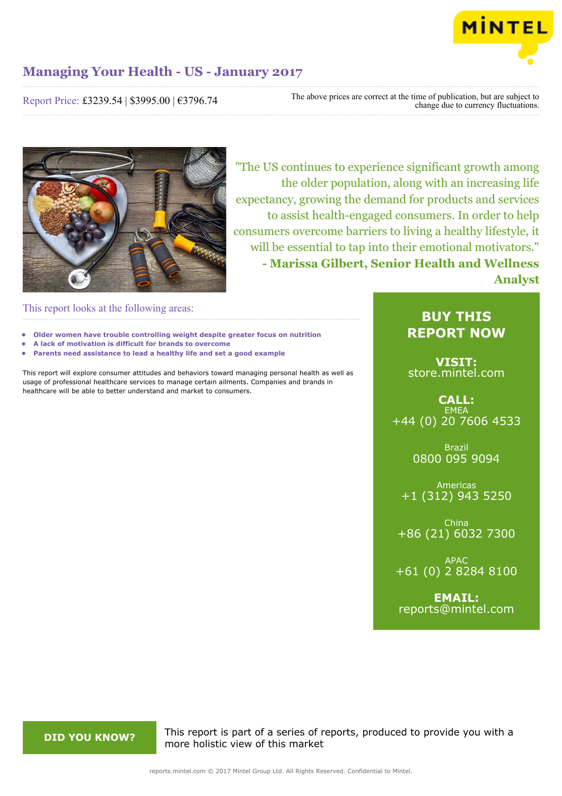

Report Price: £3239.54 | \$3995.00 | €3796.74

The above prices are correct at the time of publication, but are subject to change due to currency fluctuations.



"The US continues to experience significant growth among the older population, along with an increasing life expectancy, growing the demand for products and services to assist health-engaged consumers. In order to help consumers overcome barriers to living a healthy lifestyle, it will be essential to tap into their emotional motivators." **- Marissa Gilbert, Senior Health and Wellness Analyst**

This report looks at the following areas:

- **• Older women have trouble controlling weight despite greater focus on nutrition**
- **• A lack of motivation is difficult for brands to overcome**
- **• Parents need assistance to lead a healthy life and set a good example**

This report will explore consumer attitudes and behaviors toward managing personal health as well as usage of professional healthcare services to manage certain ailments. Companies and brands in healthcare will be able to better understand and market to consumers.

### **BUY THIS REPORT NOW**

**VISIT:** [store.mintel.com](http://reports.mintel.com//display/store/791619/)

**CALL: EMEA** +44 (0) 20 7606 4533

> Brazil 0800 095 9094

Americas +1 (312) 943 5250

China +86 (21) 6032 7300

APAC +61 (0) 2 8284 8100

**EMAIL:** [reports@mintel.com](mailto:reports@mintel.com)

**DID YOU KNOW?** This report is part of a series of reports, produced to provide you with a more holistic view of this market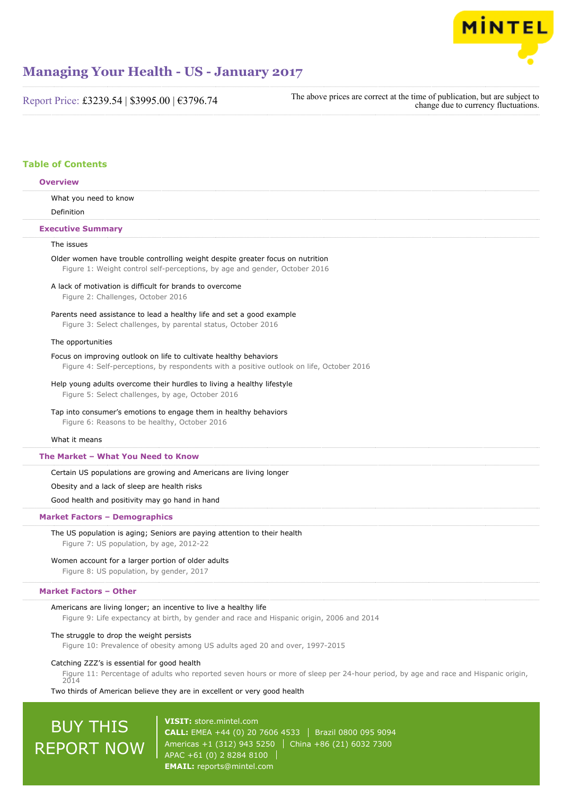

Report Price: £3239.54 | \$3995.00 | €3796.74

The above prices are correct at the time of publication, but are subject to change due to currency fluctuations.

### **Table of Contents**

### What you need to know Definition The issues Older women have trouble controlling weight despite greater focus on nutrition Figure 1: Weight control self-perceptions, by age and gender, October 2016 A lack of motivation is difficult for brands to overcome Figure 2: Challenges, October 2016 Parents need assistance to lead a healthy life and set a good example Figure 3: Select challenges, by parental status, October 2016 The opportunities Focus on improving outlook on life to cultivate healthy behaviors Figure 4: Self-perceptions, by respondents with a positive outlook on life, October 2016 Help young adults overcome their hurdles to living a healthy lifestyle Figure 5: Select challenges, by age, October 2016 Tap into consumer's emotions to engage them in healthy behaviors Figure 6: Reasons to be healthy, October 2016 What it means Certain US populations are growing and Americans are living longer Obesity and a lack of sleep are health risks Good health and positivity may go hand in hand The US population is aging; Seniors are paying attention to their health Figure 7: US population, by age, 2012-22 Women account for a larger portion of older adults Figure 8: US population, by gender, 2017 Americans are living longer; an incentive to live a healthy life Figure 9: Life expectancy at birth, by gender and race and Hispanic origin, 2006 and 2014 The struggle to drop the weight persists Figure 10: Prevalence of obesity among US adults aged 20 and over, 1997-2015 Catching ZZZ's is essential for good health **Overview Executive Summary The Market – What You Need to Know Market Factors – Demographics Market Factors – Other**

Figure 11: Percentage of adults who reported seven hours or more of sleep per 24-hour period, by age and race and Hispanic origin,  $2014$ 

Two thirds of American believe they are in excellent or very good health

# BUY THIS REPORT NOW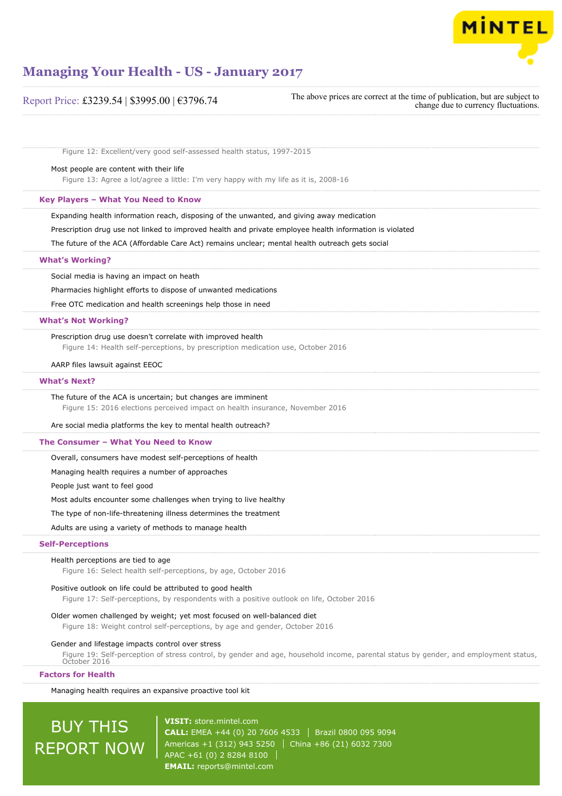

| Report Price: £3239.54   \$3995.00   €3796.74                                                           | The above prices are correct at the time of publication, but are subject to<br>change due to currency fluctuations. |
|---------------------------------------------------------------------------------------------------------|---------------------------------------------------------------------------------------------------------------------|
|                                                                                                         |                                                                                                                     |
| Figure 12: Excellent/very good self-assessed health status, 1997-2015                                   |                                                                                                                     |
| Most people are content with their life                                                                 |                                                                                                                     |
| Figure 13: Agree a lot/agree a little: I'm very happy with my life as it is, 2008-16                    |                                                                                                                     |
| Key Players - What You Need to Know                                                                     |                                                                                                                     |
| Expanding health information reach, disposing of the unwanted, and giving away medication               |                                                                                                                     |
| Prescription drug use not linked to improved health and private employee health information is violated |                                                                                                                     |
| The future of the ACA (Affordable Care Act) remains unclear; mental health outreach gets social         |                                                                                                                     |
| <b>What's Working?</b>                                                                                  |                                                                                                                     |
| Social media is having an impact on heath                                                               |                                                                                                                     |

Pharmacies highlight efforts to dispose of unwanted medications

Free OTC medication and health screenings help those in need

#### **What's Not Working?**

Prescription drug use doesn't correlate with improved health Figure 14: Health self-perceptions, by prescription medication use, October 2016

#### AARP files lawsuit against EEOC

#### **What's Next?**

#### The future of the ACA is uncertain; but changes are imminent

Figure 15: 2016 elections perceived impact on health insurance, November 2016

Are social media platforms the key to mental health outreach?

#### **The Consumer – What You Need to Know**

Overall, consumers have modest self-perceptions of health

Managing health requires a number of approaches

People just want to feel good

Most adults encounter some challenges when trying to live healthy

The type of non-life-threatening illness determines the treatment

Adults are using a variety of methods to manage health

#### **Self-Perceptions**

#### Health perceptions are tied to age

Figure 16: Select health self-perceptions, by age, October 2016

#### Positive outlook on life could be attributed to good health

Figure 17: Self-perceptions, by respondents with a positive outlook on life, October 2016

#### Older women challenged by weight; yet most focused on well-balanced diet

Figure 18: Weight control self-perceptions, by age and gender, October 2016

#### Gender and lifestage impacts control over stress

Figure 19: Self-perception of stress control, by gender and age, household income, parental status by gender, and employment status, October 2016

#### **Factors for Health**

Managing health requires an expansive proactive tool kit

# BUY THIS REPORT NOW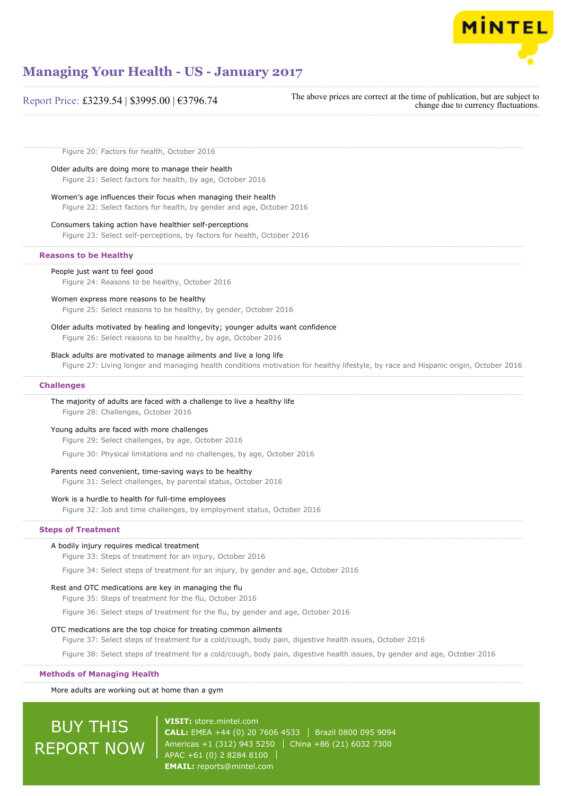

### Report Price: £3239.54 | \$3995.00 | €3796.74

The above prices are correct at the time of publication, but are subject to change due to currency fluctuations.

Figure 20: Factors for health, October 2016

#### Older adults are doing more to manage their health

Figure 21: Select factors for health, by age, October 2016 Women's age influences their focus when managing their health

#### Figure 22: Select factors for health, by gender and age, October 2016

#### Consumers taking action have healthier self-perceptions

Figure 23: Select self-perceptions, by factors for health, October 2016

#### **Reasons to be Healthy**

#### People just want to feel good

Figure 24: Reasons to be healthy, October 2016

#### Women express more reasons to be healthy

Figure 25: Select reasons to be healthy, by gender, October 2016

### Older adults motivated by healing and longevity; younger adults want confidence

Figure 26: Select reasons to be healthy, by age, October 2016

#### Black adults are motivated to manage ailments and live a long life

Figure 27: Living longer and managing health conditions motivation for healthy lifestyle, by race and Hispanic origin, October 2016

#### **Challenges**

### The majority of adults are faced with a challenge to live a healthy life

Figure 28: Challenges, October 2016

#### Young adults are faced with more challenges

Figure 29: Select challenges, by age, October 2016

Figure 30: Physical limitations and no challenges, by age, October 2016

#### Parents need convenient, time-saving ways to be healthy

Figure 31: Select challenges, by parental status, October 2016

#### Work is a hurdle to health for full-time employees

Figure 32: Job and time challenges, by employment status, October 2016

#### **Steps of Treatment**

#### A bodily injury requires medical treatment

Figure 33: Steps of treatment for an injury, October 2016

Figure 34: Select steps of treatment for an injury, by gender and age, October 2016

#### Rest and OTC medications are key in managing the flu

Figure 35: Steps of treatment for the flu, October 2016

Figure 36: Select steps of treatment for the flu, by gender and age, October 2016

#### OTC medications are the top choice for treating common ailments

Figure 37: Select steps of treatment for a cold/cough, body pain, digestive health issues, October 2016

Figure 38: Select steps of treatment for a cold/cough, body pain, digestive health issues, by gender and age, October 2016

#### **Methods of Managing Health**

More adults are working out at home than a gym

# BUY THIS REPORT NOW